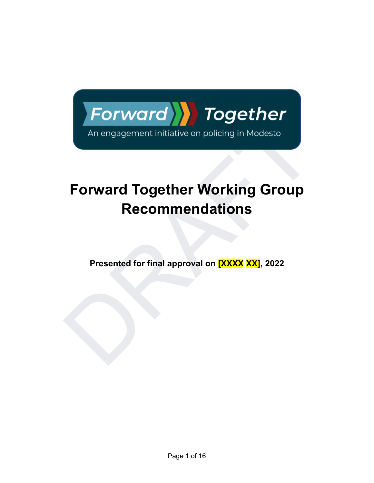

# An engagement initiative on policing in Modesto<br>
Forward Together Working Group<br>
Recommendations<br>
Presented for final approval on **EXXX XXJ**, 2022 **Forward Together Working Group Recommendations**

**Presented for final approval on [XXXX XX], 2022**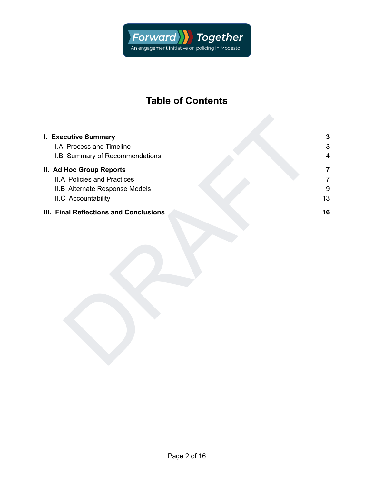

# **Table of Contents**

| I. Executive Summary                   | $\mathbf{3}$              |
|----------------------------------------|---------------------------|
| I.A Process and Timeline               | $\ensuremath{\mathsf{3}}$ |
| I.B Summary of Recommendations         | 4                         |
| II. Ad Hoc Group Reports               | $\overline{\mathbf{7}}$   |
| <b>II.A Policies and Practices</b>     | $\overline{7}$            |
| II.B Alternate Response Models         | 9                         |
| II.C Accountability                    | 13                        |
| III. Final Reflections and Conclusions | 16                        |
|                                        |                           |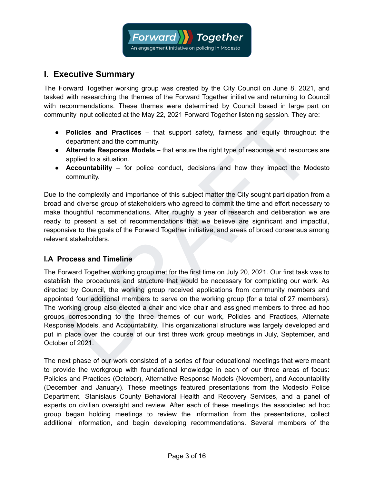

## <span id="page-2-0"></span>**I. Executive Summary**

The Forward Together working group was created by the City Council on June 8, 2021, and tasked with researching the themes of the Forward Together initiative and returning to Council with recommendations. These themes were determined by Council based in large part on community input collected at the May 22, 2021 Forward Together listening session. They are:

- **Policies and Practices** that support safety, fairness and equity throughout the department and the community.
- **Alternate Response Models** that ensure the right type of response and resources are applied to a situation.
- **Accountability** for police conduct, decisions and how they impact the Modesto community.

Due to the complexity and importance of this subject matter the City sought participation from a broad and diverse group of stakeholders who agreed to commit the time and effort necessary to make thoughtful recommendations. After roughly a year of research and deliberation we are ready to present a set of recommendations that we believe are significant and impactful, responsive to the goals of the Forward Together initiative, and areas of broad consensus among relevant stakeholders.

#### <span id="page-2-1"></span>**I.A Process and Timeline**

Unity input collected at the tway 22, 2021 Porward logetter listening session. They are:<br>
Policies and Practices – that support safety, fairness and equity throughout the<br>
department and the community.<br>
Alternate Response The Forward Together working group met for the first time on July 20, 2021. Our first task was to establish the procedures and structure that would be necessary for completing our work. As directed by Council, the working group received applications from community members and appointed four additional members to serve on the working group (for a total of 27 members). The working group also elected a chair and vice chair and assigned members to three ad hoc groups corresponding to the three themes of our work, Policies and Practices, Alternate Response Models, and Accountability. This organizational structure was largely developed and put in place over the course of our first three work group meetings in July, September, and October of 2021.

The next phase of our work consisted of a series of four educational meetings that were meant to provide the workgroup with foundational knowledge in each of our three areas of focus: Policies and Practices (October), Alternative Response Models (November), and Accountability (December and January). These meetings featured presentations from the Modesto Police Department, Stanislaus County Behavioral Health and Recovery Services, and a panel of experts on civilian oversight and review. After each of these meetings the associated ad hoc group began holding meetings to review the information from the presentations, collect additional information, and begin developing recommendations. Several members of the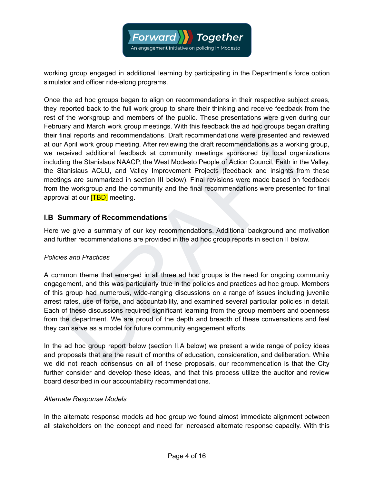

working group engaged in additional learning by participating in the Department's force option simulator and officer ride-along programs.

If the workgroup and members of the public. These presentations were given during our<br>ay and largents and recommendations. Draft recommendations were presented and reviewed<br>and reports and recommendations. Draft recommenda Once the ad hoc groups began to align on recommendations in their respective subject areas, they reported back to the full work group to share their thinking and receive feedback from the rest of the workgroup and members of the public. These presentations were given during our February and March work group meetings. With this feedback the ad hoc groups began drafting their final reports and recommendations. Draft recommendations were presented and reviewed at our April work group meeting. After reviewing the draft recommendations as a working group, we received additional feedback at community meetings sponsored by local organizations including the Stanislaus NAACP, the West Modesto People of Action Council, Faith in the Valley, the Stanislaus ACLU, and Valley Improvement Projects (feedback and insights from these meetings are summarized in section III below). Final revisions were made based on feedback from the workgroup and the community and the final recommendations were presented for final approval at our **[TBD]** meeting.

#### <span id="page-3-0"></span>**I.B Summary of Recommendations**

Here we give a summary of our key recommendations. Additional background and motivation and further recommendations are provided in the ad hoc group reports in section II below.

#### *Policies and Practices*

A common theme that emerged in all three ad hoc groups is the need for ongoing community engagement, and this was particularly true in the policies and practices ad hoc group. Members of this group had numerous, wide-ranging discussions on a range of issues including juvenile arrest rates, use of force, and accountability, and examined several particular policies in detail. Each of these discussions required significant learning from the group members and openness from the department. We are proud of the depth and breadth of these conversations and feel they can serve as a model for future community engagement efforts.

In the ad hoc group report below (section II.A below) we present a wide range of policy ideas and proposals that are the result of months of education, consideration, and deliberation. While we did not reach consensus on all of these proposals, our recommendation is that the City further consider and develop these ideas, and that this process utilize the auditor and review board described in our accountability recommendations.

#### *Alternate Response Models*

In the alternate response models ad hoc group we found almost immediate alignment between all stakeholders on the concept and need for increased alternate response capacity. With this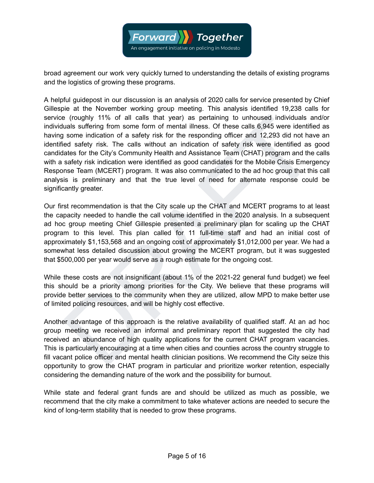

broad agreement our work very quickly turned to understanding the details of existing programs and the logistics of growing these programs.

e (roughly 11% of all calls that year) as pertaining to unhoused individuals and/or<br>uals suffering from some form of mental illness. Of these calls 6,945 were identified as<br>some indication of a safety risk for the respondi A helpful guidepost in our discussion is an analysis of 2020 calls for service presented by Chief Gillespie at the November working group meeting. This analysis identified 19,238 calls for service (roughly 11% of all calls that year) as pertaining to unhoused individuals and/or individuals suffering from some form of mental illness. Of these calls 6,945 were identified as having some indication of a safety risk for the responding officer and 12,293 did not have an identified safety risk. The calls without an indication of safety risk were identified as good candidates for the City's Community Health and Assistance Team (CHAT) program and the calls with a safety risk indication were identified as good candidates for the Mobile Crisis Emergency Response Team (MCERT) program. It was also communicated to the ad hoc group that this call analysis is preliminary and that the true level of need for alternate response could be significantly greater.

Our first recommendation is that the City scale up the CHAT and MCERT programs to at least the capacity needed to handle the call volume identified in the 2020 analysis. In a subsequent ad hoc group meeting Chief Gillespie presented a preliminary plan for scaling up the CHAT program to this level. This plan called for 11 full-time staff and had an initial cost of approximately \$1,153,568 and an ongoing cost of approximately \$1,012,000 per year. We had a somewhat less detailed discussion about growing the MCERT program, but it was suggested that \$500,000 per year would serve as a rough estimate for the ongoing cost.

While these costs are not insignificant (about 1% of the 2021-22 general fund budget) we feel this should be a priority among priorities for the City. We believe that these programs will provide better services to the community when they are utilized, allow MPD to make better use of limited policing resources, and will be highly cost effective.

Another advantage of this approach is the relative availability of qualified staff. At an ad hoc group meeting we received an informal and preliminary report that suggested the city had received an abundance of high quality applications for the current CHAT program vacancies. This is particularly encouraging at a time when cities and counties across the country struggle to fill vacant police officer and mental health clinician positions. We recommend the City seize this opportunity to grow the CHAT program in particular and prioritize worker retention, especially considering the demanding nature of the work and the possibility for burnout.

While state and federal grant funds are and should be utilized as much as possible, we recommend that the city make a commitment to take whatever actions are needed to secure the kind of long-term stability that is needed to grow these programs.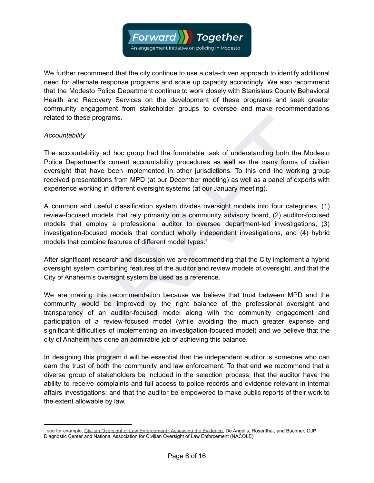

We further recommend that the city continue to use a data-driven approach to identify additional need for alternate response programs and scale up capacity accordingly. We also recommend that the Modesto Police Department continue to work closely with Stanislaus County Behavioral Health and Recovery Services on the development of these programs and seek greater community engagement from stakeholder groups to oversee and make recommendations related to these programs.

#### *Accountability*

The accountability ad hoc group had the formidable task of understanding both the Modesto Police Department's current accountability procedures as well as the many forms of civilian oversight that have been implemented in other jurisdictions. To this end the working group received presentations from MPD (at our December meeting) as well as a panel of experts with experience working in different oversight systems (at our January meeting).

A common and useful classification system divides oversight models into four categories, (1) review-focused models that rely primarily on a community advisory board, (2) auditor-focused models that employ a professional auditor to oversee department-led investigations, (3) investigation-focused models that conduct wholly independent investigations, and (4) hybrid models that combine features of different model types.<sup>1</sup>

After significant research and discussion we are recommending that the City implement a hybrid oversight system combining features of the auditor and review models of oversight, and that the City of Anaheim's oversight system be used as a reference.

the bility<br>countability<br>countability ad hoc group had the formidable task of understanding both the Modesto<br>Department's current accountability procedures as well as the many forms of civilian<br>phe that have been implemente We are making this recommendation because we believe that trust between MPD and the community would be improved by the right balance of the professional oversight and transparency of an auditor-focused model along with the community engagement and participation of a review-focused model (while avoiding the much greater expense and significant difficulties of implementing an investigation-focused model) and we believe that the city of Anaheim has done an admirable job of achieving this balance.

In designing this program it will be essential that the independent auditor is someone who can earn the trust of both the community and law enforcement. To that end we recommend that a diverse group of stakeholders be included in the selection process; that the auditor have the ability to receive complaints and full access to police records and evidence relevant in internal affairs investigations; and that the auditor be empowered to make public reports of their work to the extent allowable by law.

<sup>1</sup> see for example, [Civilian Oversight of Law Enforcement | Assessing the Evidence](https://d3n8a8pro7vhmx.cloudfront.net/nacole/pages/161/attachments/original/1481727974/NACOLE_AccessingtheEvidence_Final.pdf), De Angelis, Rosenthal, and Buchner, OJP Diagnostic Center and National Association for Civilian Oversight of Law Enforcement (NACOLE)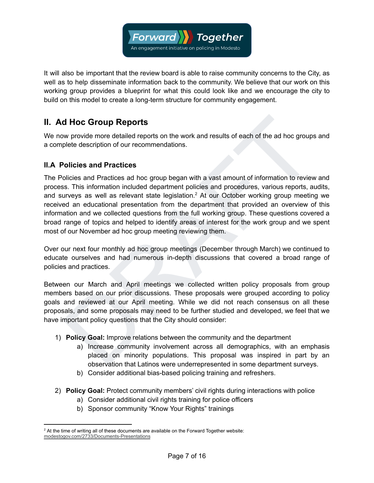

It will also be important that the review board is able to raise community concerns to the City, as well as to help disseminate information back to the community. We believe that our work on this working group provides a blueprint for what this could look like and we encourage the city to build on this model to create a long-term structure for community engagement.

## **II. Ad Hoc Group Reports**

We now provide more detailed reports on the work and results of each of the ad hoc groups and a complete description of our recommendations.

#### <span id="page-6-1"></span>**II.A Policies and Practices**

<span id="page-6-0"></span>**d Hoc Group Reports**<br>we provide more detailed reports on the work and results of each of the ad hoc groups and<br>plete description of our recommendations.<br>Volicies and Practices ad hoc group began with a vast amount of info The Policies and Practices ad hoc group began with a vast amount of information to review and process. This information included department policies and procedures, various reports, audits, and surveys as well as relevant state legislation.<sup>2</sup> At our October working group meeting we received an educational presentation from the department that provided an overview of this information and we collected questions from the full working group. These questions covered a broad range of topics and helped to identify areas of interest for the work group and we spent most of our November ad hoc group meeting reviewing them.

Over our next four monthly ad hoc group meetings (December through March) we continued to educate ourselves and had numerous in-depth discussions that covered a broad range of policies and practices.

Between our March and April meetings we collected written policy proposals from group members based on our prior discussions. These proposals were grouped according to policy goals and reviewed at our April meeting. While we did not reach consensus on all these proposals, and some proposals may need to be further studied and developed, we feel that we have important policy questions that the City should consider:

- 1) **Policy Goal:** Improve relations between the community and the department
	- a) Increase community involvement across all demographics, with an emphasis placed on minority populations. This proposal was inspired in part by an observation that Latinos were underrepresented in some department surveys.
	- b) Consider additional bias-based policing training and refreshers.
- 2) **Policy Goal:** Protect community members' civil rights during interactions with police
	- a) Consider additional civil rights training for police officers
	- b) Sponsor community "Know Your Rights" trainings

 $2$  At the time of writing all of these documents are available on the Forward Together website: [modestogov.com/2733/Documents-Presentations](https://www.modestogov.com/2733/Documents-Presentations)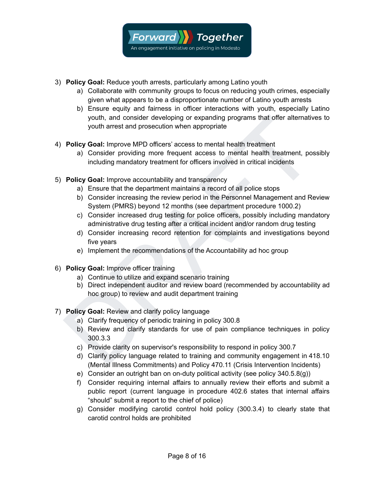

- 3) **Policy Goal:** Reduce youth arrests, particularly among Latino youth
	- a) Collaborate with community groups to focus on reducing youth crimes, especially given what appears to be a disproportionate number of Latino youth arrests
	- b) Ensure equity and fairness in officer interactions with youth, especially Latino youth, and consider developing or expanding programs that offer alternatives to youth arrest and prosecution when appropriate
- 4) **Policy Goal:** Improve MPD officers' access to mental health treatment
	- a) Consider providing more frequent access to mental health treatment, possibly including mandatory treatment for officers involved in critical incidents
- 5) **Policy Goal:** Improve accountability and transparency
	- a) Ensure that the department maintains a record of all police stops
	- b) Consider increasing the review period in the Personnel Management and Review System (PMRS) beyond 12 months (see department procedure 1000.2)
	- c) Consider increased drug testing for police officers, possibly including mandatory administrative drug testing after a critical incident and/or random drug testing
	- d) Consider increasing record retention for complaints and investigations beyond five years
	- e) Implement the recommendations of the Accountability ad hoc group
- 6) **Policy Goal:** Improve officer training
	- a) Continue to utilize and expand scenario training
	- b) Direct independent auditor and review board (recommended by accountability ad hoc group) to review and audit department training
- 7) **Policy Goal:** Review and clarify policy language
	- a) Clarify frequency of periodic training in policy 300.8
- youth, and consider developing or expanding programs that offer alternatives to<br>
youth arrest and prosecution when appropriate<br>
a) Consider providing more frequent access to mental health treatment, possibly<br>
including ma b) Review and clarify standards for use of pain compliance techniques in policy 300.3.3
	- c) Provide clarity on supervisor's responsibility to respond in policy 300.7
	- d) Clarify policy language related to training and community engagement in 418.10 (Mental Illness Commitments) and Policy 470.11 (Crisis Intervention Incidents)
	- e) Consider an outright ban on on-duty political activity (see policy 340.5.8(g))
	- f) Consider requiring internal affairs to annually review their efforts and submit a public report (current language in procedure 402.6 states that internal affairs "should" submit a report to the chief of police)
	- g) Consider modifying carotid control hold policy (300.3.4) to clearly state that carotid control holds are prohibited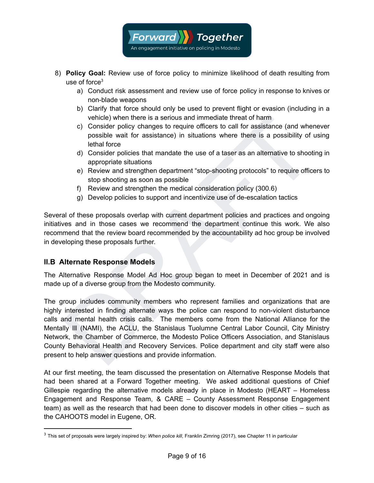

- 8) **Policy Goal:** Review use of force policy to minimize likelihood of death resulting from use of force $3$ 
	- a) Conduct risk assessment and review use of force policy in response to knives or non-blade weapons
	- b) Clarify that force should only be used to prevent flight or evasion (including in a vehicle) when there is a serious and immediate threat of harm
	- c) Consider policy changes to require officers to call for assistance (and whenever possible wait for assistance) in situations where there is a possibility of using lethal force
	- d) Consider policies that mandate the use of a taser as an alternative to shooting in appropriate situations
	- e) Review and strengthen department "stop-shooting protocols" to require officers to stop shooting as soon as possible
	- f) Review and strengthen the medical consideration policy (300.6)
	- g) Develop policies to support and incentivize use of de-escalation tactics

Several of these proposals overlap with current department policies and practices and ongoing initiatives and in those cases we recommend the department continue this work. We also recommend that the review board recommended by the accountability ad hoc group be involved in developing these proposals further.

#### <span id="page-8-0"></span>**II.B Alternate Response Models**

The Alternative Response Model Ad Hoc group began to meet in December of 2021 and is made up of a diverse group from the Modesto community.

vehicle) when there is a serious and immediate threat of harm<br>c) Consider policy changes to require officers to call for assistance (and whenever<br>possible wait for assistance) in stuations where there is a possibility of u The group includes community members who represent families and organizations that are highly interested in finding alternate ways the police can respond to non-violent disturbance calls and mental health crisis calls. The members come from the National Alliance for the Mentally Ill (NAMI), the ACLU, the Stanislaus Tuolumne Central Labor Council, City Ministry Network, the Chamber of Commerce, the Modesto Police Officers Association, and Stanislaus County Behavioral Health and Recovery Services. Police department and city staff were also present to help answer questions and provide information.

At our first meeting, the team discussed the presentation on Alternative Response Models that had been shared at a Forward Together meeting. We asked additional questions of Chief Gillespie regarding the alternative models already in place in Modesto (HEART – Homeless Engagement and Response Team, & CARE – County Assessment Response Engagement team) as well as the research that had been done to discover models in other cities – such as the CAHOOTS model in Eugene, OR.

<sup>3</sup> This set of proposals were largely inspired by: *When police kill*, Franklin Zimring (2017), see Chapter 11 in particular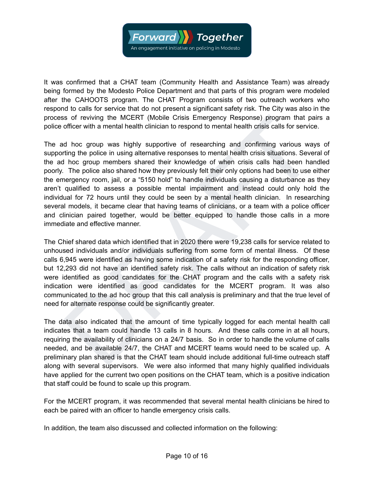

It was confirmed that a CHAT team (Community Health and Assistance Team) was already being formed by the Modesto Police Department and that parts of this program were modeled after the CAHOOTS program. The CHAT Program consists of two outreach workers who respond to calls for service that do not present a significant safety risk. The City was also in the process of reviving the MCERT (Mobile Crisis Emergency Response) program that pairs a police officer with a mental health clinician to respond to mental health crisis calls for service.

iss of reviving the MCERT (Mobile Crisis Emergency Response) program that pairs a<br>officer with a mental health clinician to respond to mental health crisis calls for service.<br>Informing the police in using alternative ergon The ad hoc group was highly supportive of researching and confirming various ways of supporting the police in using alternative responses to mental health crisis situations. Several of the ad hoc group members shared their knowledge of when crisis calls had been handled poorly. The police also shared how they previously felt their only options had been to use either the emergency room, jail, or a "5150 hold" to handle individuals causing a disturbance as they aren't qualified to assess a possible mental impairment and instead could only hold the individual for 72 hours until they could be seen by a mental health clinician. In researching several models, it became clear that having teams of clinicians, or a team with a police officer and clinician paired together, would be better equipped to handle those calls in a more immediate and effective manner.

The Chief shared data which identified that in 2020 there were 19,238 calls for service related to unhoused individuals and/or individuals suffering from some form of mental illness. Of these calls 6,945 were identified as having some indication of a safety risk for the responding officer, but 12,293 did not have an identified safety risk. The calls without an indication of safety risk were identified as good candidates for the CHAT program and the calls with a safety risk indication were identified as good candidates for the MCERT program. It was also communicated to the ad hoc group that this call analysis is preliminary and that the true level of need for alternate response could be significantly greater.

The data also indicated that the amount of time typically logged for each mental health call indicates that a team could handle 13 calls in 8 hours. And these calls come in at all hours, requiring the availability of clinicians on a 24/7 basis. So in order to handle the volume of calls needed, and be available 24/7, the CHAT and MCERT teams would need to be scaled up. A preliminary plan shared is that the CHAT team should include additional full-time outreach staff along with several supervisors. We were also informed that many highly qualified individuals have applied for the current two open positions on the CHAT team, which is a positive indication that staff could be found to scale up this program.

For the MCERT program, it was recommended that several mental health clinicians be hired to each be paired with an officer to handle emergency crisis calls.

In addition, the team also discussed and collected information on the following: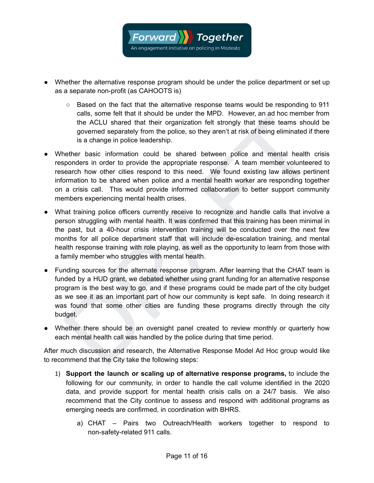

- Whether the alternative response program should be under the police department or set up as a separate non-profit (as CAHOOTS is)
	- Based on the fact that the alternative response teams would be responding to 911 calls, some felt that it should be under the MPD. However, an ad hoc member from the ACLU shared that their organization felt strongly that these teams should be governed separately from the police, so they aren't at risk of being eliminated if there is a change in police leadership.
- Whether basic information could be shared between police and mental health crisis responders in order to provide the appropriate response. A team member volunteered to research how other cities respond to this need. We found existing law allows pertinent information to be shared when police and a mental health worker are responding together on a crisis call. This would provide informed collaboration to better support community members experiencing mental health crises.
- cals, some retain and in the product increment to the other than an increment to the ACLU shared that their organization felt strongly that these teams should be governed separately from the policie, so they aren't at risk ● What training police officers currently receive to recognize and handle calls that involve a person struggling with mental health. It was confirmed that this training has been minimal in the past, but a 40-hour crisis intervention training will be conducted over the next few months for all police department staff that will include de-escalation training, and mental health response training with role playing, as well as the opportunity to learn from those with a family member who struggles with mental health.
- Funding sources for the alternate response program. After learning that the CHAT team is funded by a HUD grant, we debated whether using grant funding for an alternative response program is the best way to go, and if these programs could be made part of the city budget as we see it as an important part of how our community is kept safe. In doing research it was found that some other cities are funding these programs directly through the city budget.
- Whether there should be an oversight panel created to review monthly or quarterly how each mental health call was handled by the police during that time period.

After much discussion and research, the Alternative Response Model Ad Hoc group would like to recommend that the City take the following steps:

- 1) **Support the launch or scaling up of alternative response programs,** to include the following for our community, in order to handle the call volume identified in the 2020 data, and provide support for mental health crisis calls on a 24/7 basis. We also recommend that the City continue to assess and respond with additional programs as emerging needs are confirmed, in coordination with BHRS.
	- a) CHAT Pairs two Outreach/Health workers together to respond to non-safety-related 911 calls.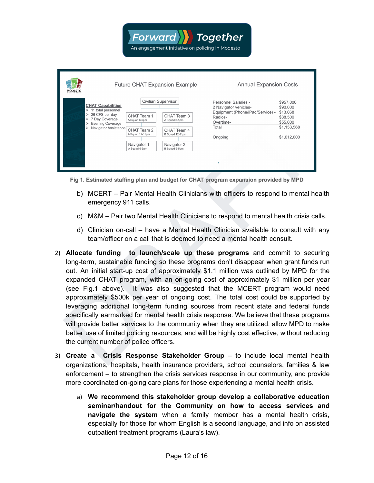| <b>MODESTO</b>                                                                                                                                                 |                                                                                                                       | <b>Future CHAT Expansion Example</b>                                                           | <b>Annual Expansion Costs</b>                                                                                                 |                                                                                         |
|----------------------------------------------------------------------------------------------------------------------------------------------------------------|-----------------------------------------------------------------------------------------------------------------------|------------------------------------------------------------------------------------------------|-------------------------------------------------------------------------------------------------------------------------------|-----------------------------------------------------------------------------------------|
| <b>CHAT Capabilities</b><br>11 total personnel<br>⋗<br>26 CFS per day<br>⋗<br>7 Day Coverage<br>⋗<br><b>Evening Coverage</b><br>⋗<br>Navigator Assistance<br>↘ | Civilian Supervisor<br>CHAT Team 1<br>A Squad 6-5pm<br>CHAT Team 2<br>A Squad 12-11pm<br>Navigator 1<br>A Squad 6-5pm | CHAT Team 3<br>A Squad 6-5pm<br>CHAT Team 4<br>B Squad 12-11pm<br>Navigator 2<br>B Squad 6-5pm | Personnel Salaries -<br>2 Navigator vehicles-<br>Equipment (Phone/iPad/Service) -<br>Radios-<br>Overtime-<br>Total<br>Ongoing | \$957,000<br>\$90,000<br>\$13,068<br>\$38,500<br>\$55,000<br>\$1,153,568<br>\$1,012,000 |

An engagement initiative on policing in Modesto

**Together** 

**Forward** 

- - b) MCERT Pair Mental Health Clinicians with officers to respond to mental health emergency 911 calls.
	- c) M&M Pair two Mental Health Clinicians to respond to mental health crisis calls.
	- d) Clinician on-call have a Mental Health Clinician available to consult with any team/officer on a call that is deemed to need a mental health consult.
- Fig. 1. Estimated starfing to an and budget for CHAT program spaces in the starting of the starting of the starfing plan and budget for CHAT program spansion provided by MPD<br>
DRAFT Pair Mental Health Clinicians with offi 2) **Allocate funding to launch/scale up these programs** and commit to securing long-term, sustainable funding so these programs don't disappear when grant funds run out. An initial start-up cost of approximately \$1.1 million was outlined by MPD for the expanded CHAT program, with an on-going cost of approximately \$1 million per year (see Fig.1 above). It was also suggested that the MCERT program would need approximately \$500k per year of ongoing cost. The total cost could be supported by leveraging additional long-term funding sources from recent state and federal funds specifically earmarked for mental health crisis response. We believe that these programs will provide better services to the community when they are utilized, allow MPD to make better use of limited policing resources, and will be highly cost effective, without reducing the current number of police officers.
- 3) **Create a Crisis Response Stakeholder Group** to include local mental health organizations, hospitals, health insurance providers, school counselors, families & law enforcement – to strengthen the crisis services response in our community, and provide more coordinated on-going care plans for those experiencing a mental health crisis.
	- a) **We recommend this stakeholder group develop a collaborative education seminar/handout for the Community on how to access services and navigate the system** when a family member has a mental health crisis, especially for those for whom English is a second language, and info on assisted outpatient treatment programs (Laura's law).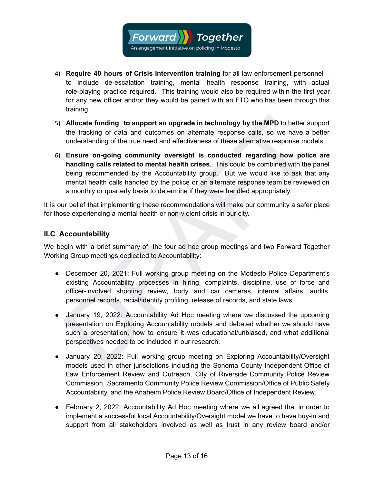

- 4) **Require 40 hours of Crisis Intervention training** for all law enforcement personnel to include de-escalation training, mental health response training, with actual role-playing practice required. This training would also be required within the first year for any new officer and/or they would be paired with an FTO who has been through this training.
- 5) **Allocate funding to support an upgrade in technology by the MPD** to better support the tracking of data and outcomes on alternate response calls, so we have a better understanding of the true need and effectiveness of these alternative response models.
- Allocate funding to support an upgrade in technology by the MPD to better support<br>the tracking of data and outcomes on alternate response calls, so we have a better<br>understanding of the ture need and effectiveness of thes 6) **Ensure on-going community oversight is conducted regarding how police are handling calls related to mental health crises**. This could be combined with the panel being recommended by the Accountability group. But we would like to ask that any mental health calls handled by the police or an alternate response team be reviewed on a monthly or quarterly basis to determine if they were handled appropriately.

It is our belief that implementing these recommendations will make our community a safer place for those experiencing a mental health or non-violent crisis in our city.

#### <span id="page-12-0"></span>**II.C Accountability**

We begin with a brief summary of the four ad hoc group meetings and two Forward Together Working Group meetings dedicated to Accountability:

- December 20, 2021: Full working group meeting on the Modesto Police Department's existing Accountability processes in hiring, complaints, discipline, use of force and officer-involved shooting review, body and car cameras, internal affairs, audits, personnel records, racial/identity profiling, release of records, and state laws.
- January 19, 2022: Accountability Ad Hoc meeting where we discussed the upcoming presentation on Exploring Accountability models and debated whether we should have such a presentation, how to ensure it was educational/unbiased, and what additional perspectives needed to be included in our research.
- January 20, 2022: Full working group meeting on Exploring Accountability/Oversight models used in other jurisdictions including the Sonoma County Independent Office of Law Enforcement Review and Outreach, City of Riverside Community Police Review Commission, Sacramento Community Police Review Commission/Office of Public Safety Accountability, and the Anaheim Police Review Board/Office of Independent Review.
- February 2, 2022: Accountability Ad Hoc meeting where we all agreed that in order to implement a successful local Accountability/Oversight model we have to have buy-in and support from all stakeholders involved as well as trust in any review board and/or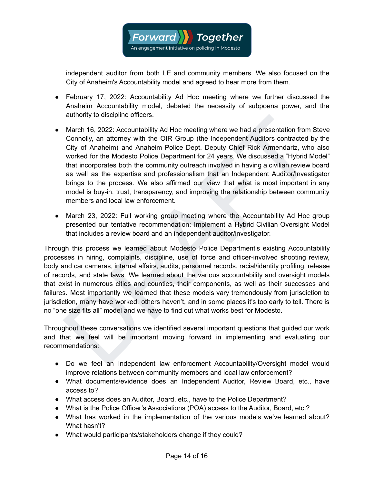

independent auditor from both LE and community members. We also focused on the City of Anaheim's Accountability model and agreed to hear more from them.

- February 17, 2022: Accountability Ad Hoc meeting where we further discussed the Anaheim Accountability model, debated the necessity of subpoena power, and the authority to discipline officers.
- attrionly to also pline omcers.<br>
March 16, 2022: Accountability Ad Hoc meeting where we had a presentation from Steve<br>
Connolly, an attorney with the OIR Group (the Independent Auditors contracted by the<br>
City of Anaheim) • March 16, 2022: Accountability Ad Hoc meeting where we had a presentation from Steve Connolly, an attorney with the OIR Group (the Independent Auditors contracted by the City of Anaheim) and Anaheim Police Dept. Deputy Chief Rick Armendariz, who also worked for the Modesto Police Department for 24 years. We discussed a "Hybrid Model" that incorporates both the community outreach involved in having a civilian review board as well as the expertise and professionalism that an Independent Auditor/Investigator brings to the process. We also affirmed our view that what is most important in any model is buy-in, trust, transparency, and improving the relationship between community members and local law enforcement.
- March 23, 2022: Full working group meeting where the Accountability Ad Hoc group presented our tentative recommendation: Implement a Hybrid Civilian Oversight Model that includes a review board and an independent auditor/investigator.

Through this process we learned about Modesto Police Department's existing Accountability processes in hiring, complaints, discipline, use of force and officer-involved shooting review, body and car cameras, internal affairs, audits, personnel records, racial/identity profiling, release of records, and state laws. We learned about the various accountability and oversight models that exist in numerous cities and counties, their components, as well as their successes and failures. Most importantly we learned that these models vary tremendously from jurisdiction to jurisdiction, many have worked, others haven't, and in some places it's too early to tell. There is no "one size fits all" model and we have to find out what works best for Modesto.

Throughout these conversations we identified several important questions that guided our work and that we feel will be important moving forward in implementing and evaluating our recommendations:

- Do we feel an Independent law enforcement Accountability/Oversight model would improve relations between community members and local law enforcement?
- What documents/evidence does an Independent Auditor, Review Board, etc., have access to?
- What access does an Auditor, Board, etc., have to the Police Department?
- What is the Police Officer's Associations (POA) access to the Auditor, Board, etc.?
- What has worked in the implementation of the various models we've learned about? What hasn't?
- What would participants/stakeholders change if they could?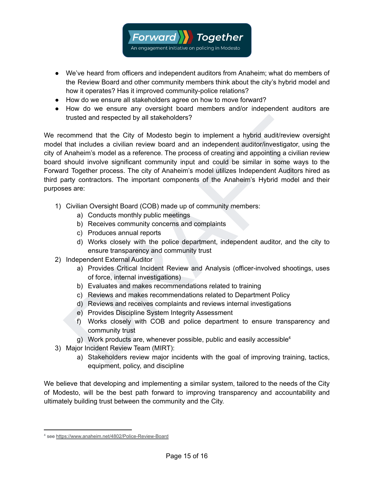

- We've heard from officers and independent auditors from Anaheim; what do members of the Review Board and other community members think about the city's hybrid model and how it operates? Has it improved community-police relations?
- How do we ensure all stakeholders agree on how to move forward?
- How do we ensure any oversight board members and/or independent auditors are trusted and respected by all stakeholders?

trusted and respected by all stakeholders?<br>
commend that the City of Modesto begin to implement a hybrid audit/review oversight<br>
that includes a cityilan review board and an independent auditor/investigator, using the<br>
Ana We recommend that the City of Modesto begin to implement a hybrid audit/review oversight model that includes a civilian review board and an independent auditor/investigator, using the city of Anaheim's model as a reference. The process of creating and appointing a civilian review board should involve significant community input and could be similar in some ways to the Forward Together process. The city of Anaheim's model utilizes Independent Auditors hired as third party contractors. The important components of the Anaheim's Hybrid model and their purposes are:

- 1) Civilian Oversight Board (COB) made up of community members:
	- a) Conducts monthly public meetings
	- b) Receives community concerns and complaints
	- c) Produces annual reports
	- d) Works closely with the police department, independent auditor, and the city to ensure transparency and community trust
- 2) Independent External Auditor
	- a) Provides Critical Incident Review and Analysis (officer-involved shootings, uses of force, internal investigations)
	- b) Evaluates and makes recommendations related to training
	- c) Reviews and makes recommendations related to Department Policy
	- d) Reviews and receives complaints and reviews internal investigations
	- e) Provides Discipline System Integrity Assessment
	- f) Works closely with COB and police department to ensure transparency and community trust
	- g) Work products are, whenever possible, public and easily accessible<sup>4</sup>
- 3) Major Incident Review Team (MIRT):
	- a) Stakeholders review major incidents with the goal of improving training, tactics, equipment, policy, and discipline

We believe that developing and implementing a similar system, tailored to the needs of the City of Modesto, will be the best path forward to improving transparency and accountability and ultimately building trust between the community and the City.

<sup>4</sup> see <https://www.anaheim.net/4802/Police-Review-Board>